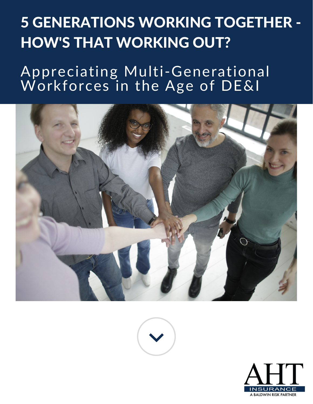## 5 GENERATIONS WORKING TOGETHER - HOW'S THAT WORKING OUT?

## Appreciating Multi-Generational Workforces in the Age of DE&I





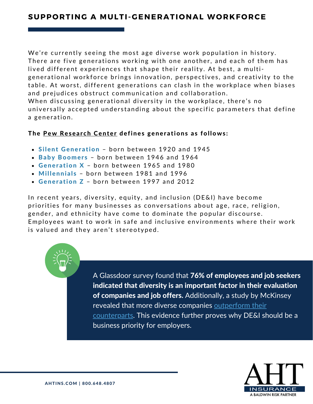## **SUPPORTING A MULTI-GENERATIONAL WORKFORCE**

We're currently seeing the most age diverse work population in history. There are five generations working with one another, and each of them has lived different experiences that shape their reality. At best, a multigenerational work force brings innovation, perspectives, and creativity to the table. At worst, different generations can clash in the workplace when biases and prejudices obstruct communication and collaboration. When discussing generational diversity in the workplace, there's no universally accepted understanding about the specific parameters that define a generation.

## The Pew Research [Center](https://www.pewresearch.org/) defines generations as follows:

- Silent Generation born between 1920 and 1945
- Baby Boomers born between 1946 and 1964
- Generation  $X$  born between 1965 and 1980
- Millennials born between 1981 and 1996
- Generation Z born between 1997 and 2012

In recent years, diversity, equity, and inclusion (DE&I) have become priorities for many businesses as conversations about age, race, religion, gender, and ethnicity have come to dominate the popular discourse. Employees want to work in safe and inclusive environments where their work is valued and they aren't stereotyped.

> A Glassdoor survey found that 76% of employees and job seekers indicated that diversity is an important factor in their evaluation of companies and job offers. Additionally, a study by McKinsey revealed that more diverse companies outperform their [counterparts.](https://www.mckinsey.com/featured-insights/diversity-and-inclusion/diversity-wins-how-inclusion-matters) This evidence further proves why DE&I should be a business priority for employers.

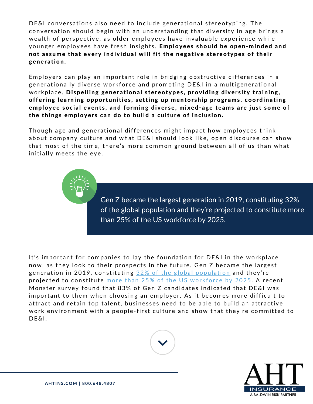DE&I conversations also need to include generational stereotyping. The conversation should begin with an understanding that diversity in age brings a wealth of perspective, as older employees have invaluable experience while younger employees have fresh insights. Employees should be open-minded and not assume that every individual will fit the negative stereotypes of their generation.

Employers can play an important role in bridging obstructive differences in a generationally diverse workforce and promoting DE&I in a multigenerational workplace. Dispelling generational stereotypes, providing diversity training, offering learning opportunities, setting up mentorship programs, coordinating employee social events, and forming diverse, mixed-age teams are just some of the things employers can do to build a culture of inclusion.

Though age and generational differences might impact how employees think about company culture and what DE&I should look like, open discourse can show that most of the time, there's more common ground between all of us than what initially meets the eye.

> Gen Z became the largest generation in 2019, [constituting](https://nypost.com/2020/01/25/generation-z-is-bigger-than-millennials-and-theyre-out-to-change-the-world/) 32% of the global [population](https://www.togetherplatform.com/blog/gen-z-in-the-workforce) and they're projected to constitute more than 25% of the US workforce by 2025.

It's important for companies to lay the foundation for DE&I in the workplace now, as they look to their prospects in the future. Gen Z became the largest generation in 2019, constituting 32% of the global [popul](https://nypost.com/2020/01/25/generation-z-is-bigger-than-millennials-and-theyre-out-to-change-the-world/)ation and they're projected to constitute more than 25% of the US workforce by [2025](https://www.togetherplatform.com/blog/gen-z-in-the-workforce). A recent Monster survey found that 83% of Gen Z c[andida](https://hiring.monster.com/resources/blog/monsters-2020-state-of-the-candidate-infographic/)tes indicated that DE&I was important to them when choosing an employer. As it becomes more difficult to attract and retain top talent, businesses need to be able to build an attractive work environment with a people-first culture and show that they're committed to DE&I.